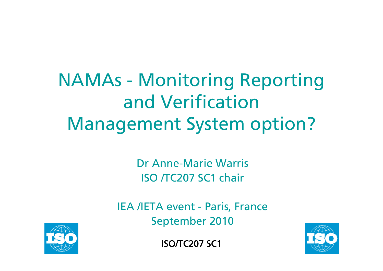NAMAs - Monitoring Reporting and VerificationManagement System option?

> Dr Anne-Marie WarrisISO /TC207 SC1 chair

IEA /IETA event - Paris, France September 2010



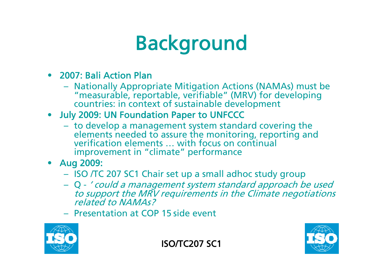### Background

#### • 2007: Bali Action Plan

- Nationally Appropriate Mitigation Actions (NAMAs) must be "measurable, reportable, verifiable" (MRV) for developing<br>countries: in context of sustainable development
- July 2009: UN Foundation Paper to UNFCCC
	- to develop a management system standard covering the elements needed to assure the monitoring, reporting and verification elements ... with focus on continual improvement in "climate" performance
- Aug 2009:
	- ISO /TC 207 SC1 Chair set up a small adhoc study group
	- Q ' could a management system standard approach be used to support the MRV requirements in the Climate negotiations<br>related to NAMAs?
	- Presentation at COP 15 side event



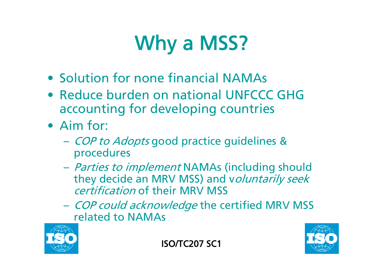## Why a MSS?

- Solution for none financial NAMAs
- Reduce burden on national UNFCCC GHG accounting for developing countries
- Aim for:
	- $\mathcal{L}_{\mathcal{A}}$ – *COP to Adopts* good practice guidelines & procedures
	- *Parties to implement* NAMAs (including should they decide an MRV MSS) and voluntarily seek certification of their MRV MSS
	- *COP could acknowledge* the certified MRV MSS related to NAMAs

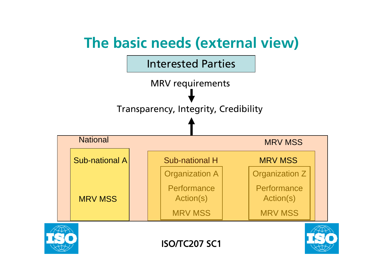



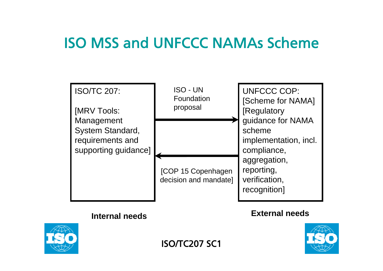#### ISO MSS and UNFCCC NAMAs Scheme

| <b>ISO/TC 207:</b><br><b>IMRV Tools:</b><br>Management<br>System Standard,<br>requirements and<br>supporting guidance] | <b>ISO - UN</b><br>Foundation<br>proposal          | <b>UNFCCC COP:</b><br>[Scheme for NAMA]<br>[Regulatory<br>guidance for NAMA<br>scheme<br>implementation, incl.<br>compliance,<br>aggregation,<br>reporting,<br>verification,<br>recognition] |
|------------------------------------------------------------------------------------------------------------------------|----------------------------------------------------|----------------------------------------------------------------------------------------------------------------------------------------------------------------------------------------------|
|                                                                                                                        | <b>[COP 15 Copenhagen</b><br>decision and mandate] |                                                                                                                                                                                              |

#### **Internal needs**

#### **External needs**



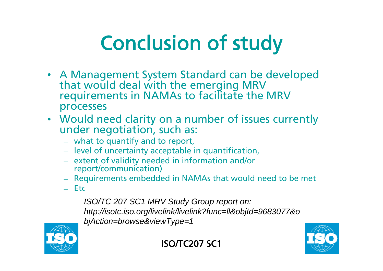## Conclusion of study

- A Management System Standard can be developed that would deal with the emerging MRV requirements in NAMAs to facilitate the MRV processes
- Would need clarity on a number of issues currently under negotiation, such as:
	- what to quantify and to report,
	- level of uncertainty acceptable in quantification,
	- extent of validity needed in information and/or report/communication)
	- Requirements embedded in NAMAs that would need to be met
	- Etc

*ISO/TC 207 SC1 MRV Study Group report on: http://isotc.iso.org/livelink/livelink?func=ll&objId=9683077&o bjAction=browse&viewType=1*



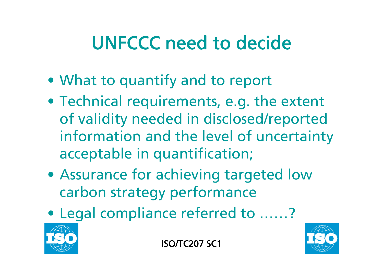### UNFCCC need to decide

- What to quantify and to report
- Technical requirements, e.g. the extent of validity needed in disclosed/reported information and the level of uncertainty acceptable in quantification;
- Assurance for achieving targeted low carbon strategy performance
- Legal compliance referred to ……?



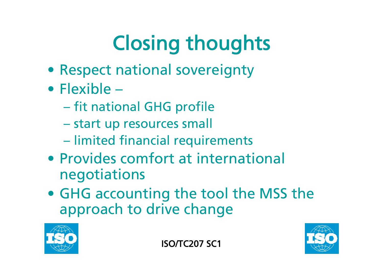# Closing thoughts

- Respect national sovereignty
- Flexible
	- $\mathcal{L}_{\mathcal{A}}$  , and the set of the set of the set of the set of the set of the set of the set of the set of the set of the set of the set of the set of the set of the set of the set of the set of the set of the set of th – fit national GHG profile
	- start up resources small
	- **limited financial requirements**
- Provides comfort at international negotiations
- GHG accounting the tool the MSS the approach to drive change